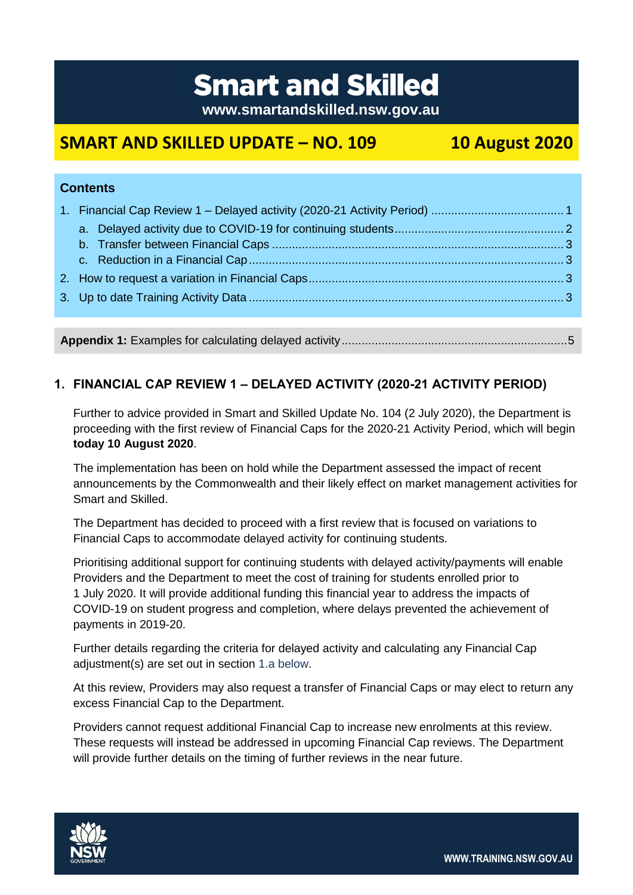# **Smart and Skilled**

**www.smartandskilled.nsw.gov.au**

## **SMART AND SKILLED UPDATE – NO. 109 10 August 2020**

| <b>Contents</b> |  |  |
|-----------------|--|--|
|                 |  |  |
|                 |  |  |
|                 |  |  |
|                 |  |  |
|                 |  |  |

**Appendix 1:** Examples for calculating delayed activity....................................................................5

### <span id="page-0-0"></span>**1. FINANCIAL CAP REVIEW 1 – DELAYED ACTIVITY (2020-21 ACTIVITY PERIOD)**

Further to advice provided in Smart and Skilled Update No. 104 (2 July 2020), the Department is proceeding with the first review of Financial Caps for the 2020-21 Activity Period, which will begin **today 10 August 2020**.

The implementation has been on hold while the Department assessed the impact of recent announcements by the Commonwealth and their likely effect on market management activities for Smart and Skilled.

The Department has decided to proceed with a first review that is focused on variations to Financial Caps to accommodate delayed activity for continuing students.

Prioritising additional support for continuing students with delayed activity/payments will enable Providers and the Department to meet the cost of training for students enrolled prior to 1 July 2020. It will provide additional funding this financial year to address the impacts of COVID-19 on student progress and completion, where delays prevented the achievement of payments in 2019-20.

Further details regarding the criteria for delayed activity and calculating any Financial Cap adjustment(s) are set out in section [1.a below.](#page-1-0)

At this review, Providers may also request a transfer of Financial Caps or may elect to return any excess Financial Cap to the Department.

Providers cannot request additional Financial Cap to increase new enrolments at this review. These requests will instead be addressed in upcoming Financial Cap reviews. The Department will provide further details on the timing of further reviews in the near future.



**WWW.TRAINING.NSW.GOV.AU**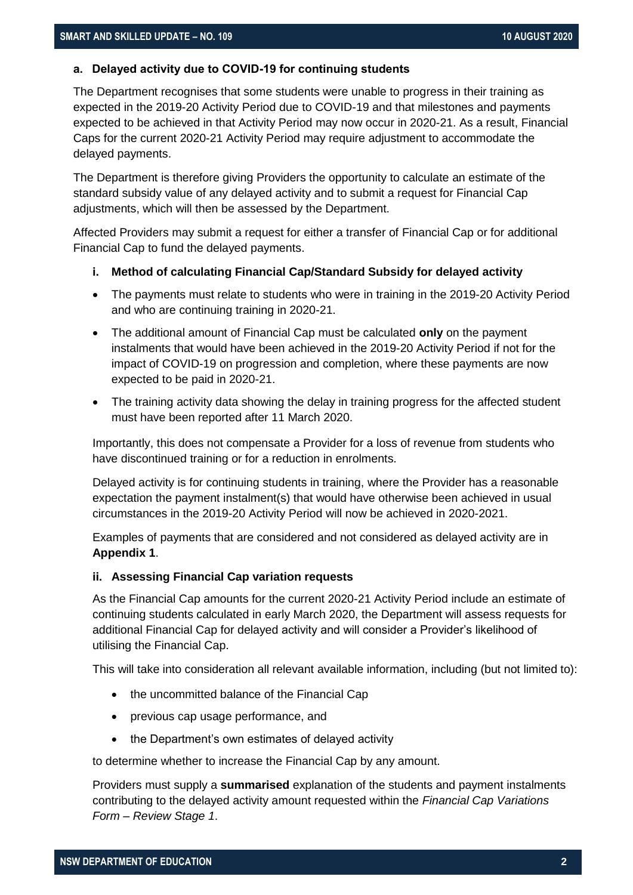#### <span id="page-1-0"></span>**a. Delayed activity due to COVID-19 for continuing students**

The Department recognises that some students were unable to progress in their training as expected in the 2019-20 Activity Period due to COVID-19 and that milestones and payments expected to be achieved in that Activity Period may now occur in 2020-21. As a result, Financial Caps for the current 2020-21 Activity Period may require adjustment to accommodate the delayed payments.

The Department is therefore giving Providers the opportunity to calculate an estimate of the standard subsidy value of any delayed activity and to submit a request for Financial Cap adjustments, which will then be assessed by the Department.

Affected Providers may submit a request for either a transfer of Financial Cap or for additional Financial Cap to fund the delayed payments.

#### **i. Method of calculating Financial Cap/Standard Subsidy for delayed activity**

- The payments must relate to students who were in training in the 2019-20 Activity Period and who are continuing training in 2020-21.
- The additional amount of Financial Cap must be calculated **only** on the payment instalments that would have been achieved in the 2019-20 Activity Period if not for the impact of COVID-19 on progression and completion, where these payments are now expected to be paid in 2020-21.
- The training activity data showing the delay in training progress for the affected student must have been reported after 11 March 2020.

Importantly, this does not compensate a Provider for a loss of revenue from students who have discontinued training or for a reduction in enrolments.

Delayed activity is for continuing students in training, where the Provider has a reasonable expectation the payment instalment(s) that would have otherwise been achieved in usual circumstances in the 2019-20 Activity Period will now be achieved in 2020-2021.

Examples of payments that are considered and not considered as delayed activity are in **Appendix 1**.

#### **ii. Assessing Financial Cap variation requests**

As the Financial Cap amounts for the current 2020-21 Activity Period include an estimate of continuing students calculated in early March 2020, the Department will assess requests for additional Financial Cap for delayed activity and will consider a Provider's likelihood of utilising the Financial Cap.

This will take into consideration all relevant available information, including (but not limited to):

- the uncommitted balance of the Financial Cap
- previous cap usage performance, and
- the Department's own estimates of delayed activity

to determine whether to increase the Financial Cap by any amount.

Providers must supply a **summarised** explanation of the students and payment instalments contributing to the delayed activity amount requested within the *Financial Cap Variations Form – Review Stage 1*.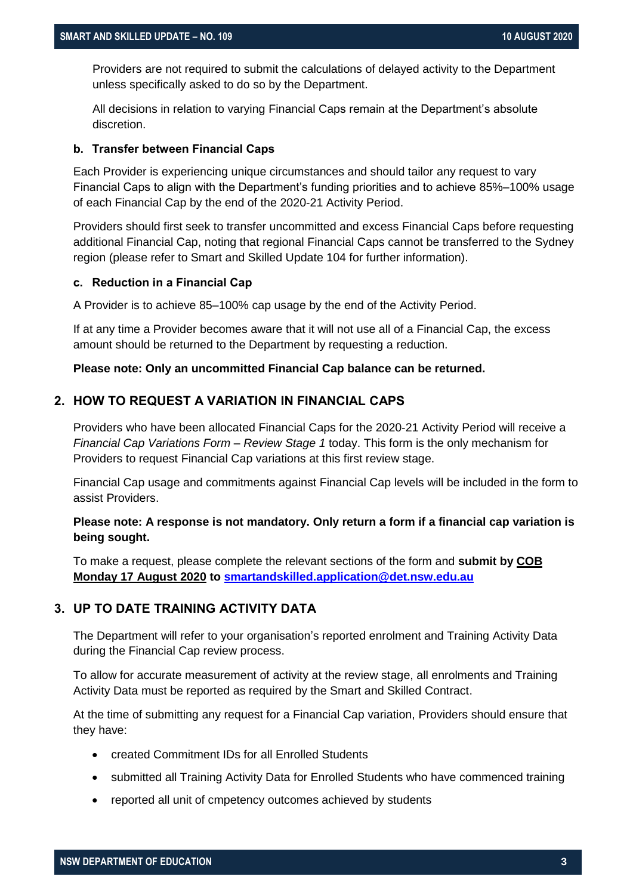Providers are not required to submit the calculations of delayed activity to the Department unless specifically asked to do so by the Department.

All decisions in relation to varying Financial Caps remain at the Department's absolute discretion.

#### <span id="page-2-0"></span>**b. Transfer between Financial Caps**

Each Provider is experiencing unique circumstances and should tailor any request to vary Financial Caps to align with the Department's funding priorities and to achieve 85%–100% usage of each Financial Cap by the end of the 2020-21 Activity Period.

Providers should first seek to transfer uncommitted and excess Financial Caps before requesting additional Financial Cap, noting that regional Financial Caps cannot be transferred to the Sydney region (please refer to Smart and Skilled Update 104 for further information).

#### <span id="page-2-1"></span>**c. Reduction in a Financial Cap**

A Provider is to achieve 85–100% cap usage by the end of the Activity Period.

If at any time a Provider becomes aware that it will not use all of a Financial Cap, the excess amount should be returned to the Department by requesting a reduction.

#### **Please note: Only an uncommitted Financial Cap balance can be returned.**

#### <span id="page-2-2"></span>**2. HOW TO REQUEST A VARIATION IN FINANCIAL CAPS**

Providers who have been allocated Financial Caps for the 2020-21 Activity Period will receive a *Financial Cap Variations Form – Review Stage 1* today. This form is the only mechanism for Providers to request Financial Cap variations at this first review stage.

Financial Cap usage and commitments against Financial Cap levels will be included in the form to assist Providers.

#### **Please note: A response is not mandatory. Only return a form if a financial cap variation is being sought.**

To make a request, please complete the relevant sections of the form and **submit by COB Monday 17 August 2020 to [smartandskilled.application@det.nsw.edu.au](mailto:smartandskilled.application@det.nsw.edu.au)**

#### <span id="page-2-3"></span>**3. UP TO DATE TRAINING ACTIVITY DATA**

The Department will refer to your organisation's reported enrolment and Training Activity Data during the Financial Cap review process.

To allow for accurate measurement of activity at the review stage, all enrolments and Training Activity Data must be reported as required by the Smart and Skilled Contract.

At the time of submitting any request for a Financial Cap variation, Providers should ensure that they have:

- created Commitment IDs for all Enrolled Students
- submitted all Training Activity Data for Enrolled Students who have commenced training
- reported all unit of cmpetency outcomes achieved by students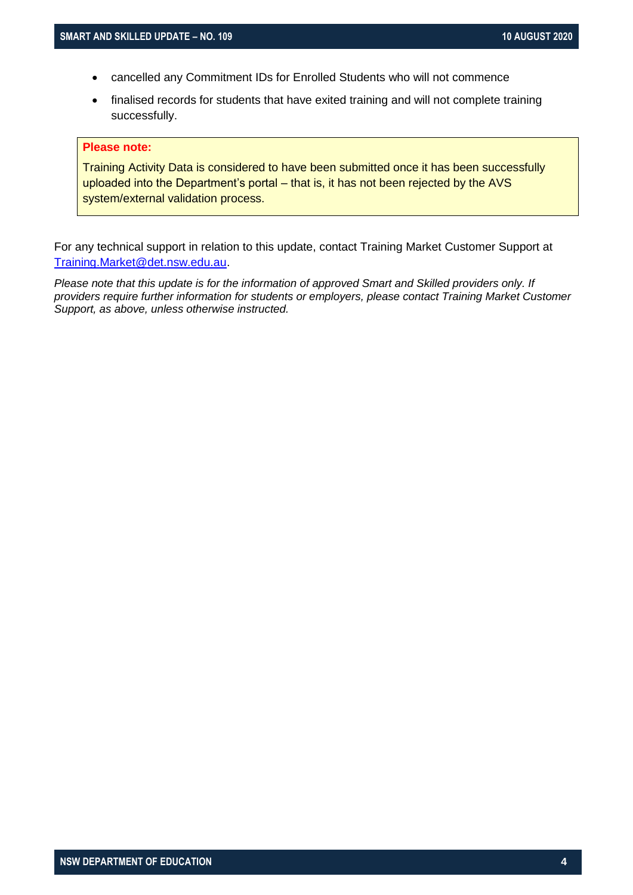- cancelled any Commitment IDs for Enrolled Students who will not commence
- finalised records for students that have exited training and will not complete training successfully.

#### **Please note:**

Training Activity Data is considered to have been submitted once it has been successfully uploaded into the Department's portal – that is, it has not been rejected by the AVS system/external validation process.

For any technical support in relation to this update, contact Training Market Customer Support at [Training.Market@det.nsw.edu.au.](mailto:Training.Market@det.nsw.edu.au)

Please note that this update is for the information of approved Smart and Skilled providers only. If *providers require further information for students or employers, please contact Training Market Customer Support, as above, unless otherwise instructed.*